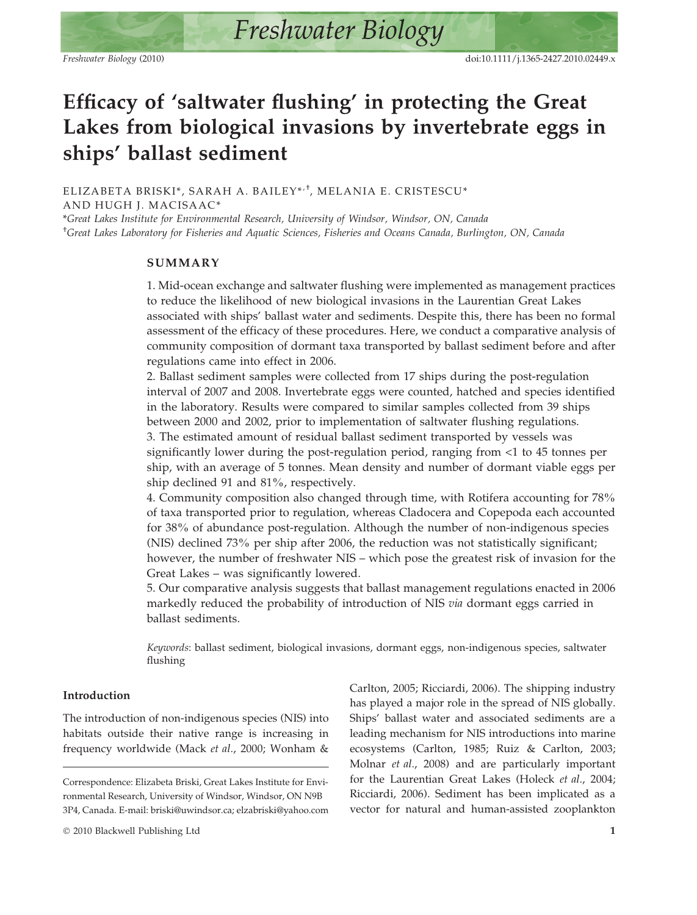# Efficacy of 'saltwater flushing' in protecting the Great Lakes from biological invasions by invertebrate eggs in ships' ballast sediment

ELIZABETA BRISKI\*, SARAH A. BAILEY\*'<sup>+</sup>, MELANIA E. CRISTESCU\* AND HUGH J. MACISAAC\*

\*Great Lakes Institute for Environmental Research, University of Windsor, Windsor, ON, Canada † Great Lakes Laboratory for Fisheries and Aquatic Sciences, Fisheries and Oceans Canada, Burlington, ON, Canada

## SUMMARY

1. Mid-ocean exchange and saltwater flushing were implemented as management practices to reduce the likelihood of new biological invasions in the Laurentian Great Lakes associated with ships' ballast water and sediments. Despite this, there has been no formal assessment of the efficacy of these procedures. Here, we conduct a comparative analysis of community composition of dormant taxa transported by ballast sediment before and after regulations came into effect in 2006.

2. Ballast sediment samples were collected from 17 ships during the post-regulation interval of 2007 and 2008. Invertebrate eggs were counted, hatched and species identified in the laboratory. Results were compared to similar samples collected from 39 ships between 2000 and 2002, prior to implementation of saltwater flushing regulations. 3. The estimated amount of residual ballast sediment transported by vessels was significantly lower during the post-regulation period, ranging from <1 to 45 tonnes per ship, with an average of 5 tonnes. Mean density and number of dormant viable eggs per ship declined 91 and 81%, respectively.

4. Community composition also changed through time, with Rotifera accounting for 78% of taxa transported prior to regulation, whereas Cladocera and Copepoda each accounted for 38% of abundance post-regulation. Although the number of non-indigenous species (NIS) declined 73% per ship after 2006, the reduction was not statistically significant; however, the number of freshwater NIS – which pose the greatest risk of invasion for the Great Lakes – was significantly lowered.

5. Our comparative analysis suggests that ballast management regulations enacted in 2006 markedly reduced the probability of introduction of NIS via dormant eggs carried in ballast sediments.

Keywords: ballast sediment, biological invasions, dormant eggs, non-indigenous species, saltwater flushing

# Introduction

The introduction of non-indigenous species (NIS) into habitats outside their native range is increasing in frequency worldwide (Mack et al., 2000; Wonham & Carlton, 2005; Ricciardi, 2006). The shipping industry has played a major role in the spread of NIS globally. Ships' ballast water and associated sediments are a leading mechanism for NIS introductions into marine ecosystems (Carlton, 1985; Ruiz & Carlton, 2003; Molnar et al., 2008) and are particularly important for the Laurentian Great Lakes (Holeck et al., 2004; Ricciardi, 2006). Sediment has been implicated as a vector for natural and human-assisted zooplankton

Correspondence: Elizabeta Briski, Great Lakes Institute for Environmental Research, University of Windsor, Windsor, ON N9B 3P4, Canada. E-mail: briski@uwindsor.ca; elzabriski@yahoo.com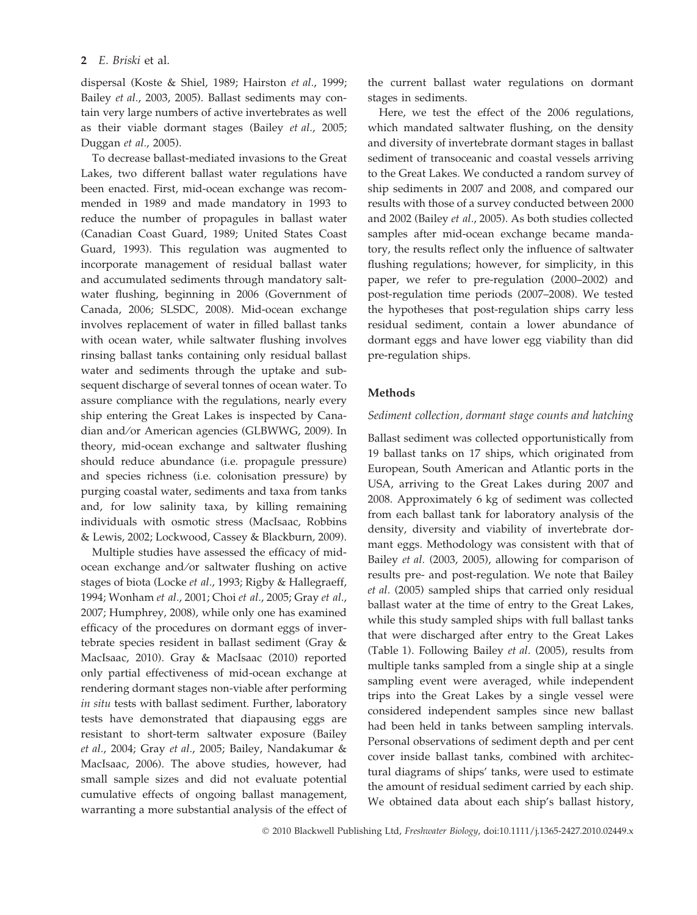dispersal (Koste & Shiel, 1989; Hairston et al., 1999; Bailey et al., 2003, 2005). Ballast sediments may contain very large numbers of active invertebrates as well as their viable dormant stages (Bailey et al., 2005; Duggan et al., 2005).

To decrease ballast-mediated invasions to the Great Lakes, two different ballast water regulations have been enacted. First, mid-ocean exchange was recommended in 1989 and made mandatory in 1993 to reduce the number of propagules in ballast water (Canadian Coast Guard, 1989; United States Coast Guard, 1993). This regulation was augmented to incorporate management of residual ballast water and accumulated sediments through mandatory saltwater flushing, beginning in 2006 (Government of Canada, 2006; SLSDC, 2008). Mid-ocean exchange involves replacement of water in filled ballast tanks with ocean water, while saltwater flushing involves rinsing ballast tanks containing only residual ballast water and sediments through the uptake and subsequent discharge of several tonnes of ocean water. To assure compliance with the regulations, nearly every ship entering the Great Lakes is inspected by Canadian and⁄or American agencies (GLBWWG, 2009). In theory, mid-ocean exchange and saltwater flushing should reduce abundance (i.e. propagule pressure) and species richness (i.e. colonisation pressure) by purging coastal water, sediments and taxa from tanks and, for low salinity taxa, by killing remaining individuals with osmotic stress (MacIsaac, Robbins & Lewis, 2002; Lockwood, Cassey & Blackburn, 2009).

Multiple studies have assessed the efficacy of midocean exchange and ⁄or saltwater flushing on active stages of biota (Locke et al., 1993; Rigby & Hallegraeff, 1994; Wonham et al., 2001; Choi et al., 2005; Gray et al., 2007; Humphrey, 2008), while only one has examined efficacy of the procedures on dormant eggs of invertebrate species resident in ballast sediment (Gray & MacIsaac, 2010). Gray & MacIsaac (2010) reported only partial effectiveness of mid-ocean exchange at rendering dormant stages non-viable after performing in situ tests with ballast sediment. Further, laboratory tests have demonstrated that diapausing eggs are resistant to short-term saltwater exposure (Bailey et al., 2004; Gray et al., 2005; Bailey, Nandakumar & MacIsaac, 2006). The above studies, however, had small sample sizes and did not evaluate potential cumulative effects of ongoing ballast management, warranting a more substantial analysis of the effect of the current ballast water regulations on dormant stages in sediments.

Here, we test the effect of the 2006 regulations, which mandated saltwater flushing, on the density and diversity of invertebrate dormant stages in ballast sediment of transoceanic and coastal vessels arriving to the Great Lakes. We conducted a random survey of ship sediments in 2007 and 2008, and compared our results with those of a survey conducted between 2000 and 2002 (Bailey et al., 2005). As both studies collected samples after mid-ocean exchange became mandatory, the results reflect only the influence of saltwater flushing regulations; however, for simplicity, in this paper, we refer to pre-regulation (2000–2002) and post-regulation time periods (2007–2008). We tested the hypotheses that post-regulation ships carry less residual sediment, contain a lower abundance of dormant eggs and have lower egg viability than did pre-regulation ships.

# Methods

# Sediment collection, dormant stage counts and hatching

Ballast sediment was collected opportunistically from 19 ballast tanks on 17 ships, which originated from European, South American and Atlantic ports in the USA, arriving to the Great Lakes during 2007 and 2008. Approximately 6 kg of sediment was collected from each ballast tank for laboratory analysis of the density, diversity and viability of invertebrate dormant eggs. Methodology was consistent with that of Bailey et al. (2003, 2005), allowing for comparison of results pre- and post-regulation. We note that Bailey et al. (2005) sampled ships that carried only residual ballast water at the time of entry to the Great Lakes, while this study sampled ships with full ballast tanks that were discharged after entry to the Great Lakes (Table 1). Following Bailey et al. (2005), results from multiple tanks sampled from a single ship at a single sampling event were averaged, while independent trips into the Great Lakes by a single vessel were considered independent samples since new ballast had been held in tanks between sampling intervals. Personal observations of sediment depth and per cent cover inside ballast tanks, combined with architectural diagrams of ships' tanks, were used to estimate the amount of residual sediment carried by each ship. We obtained data about each ship's ballast history,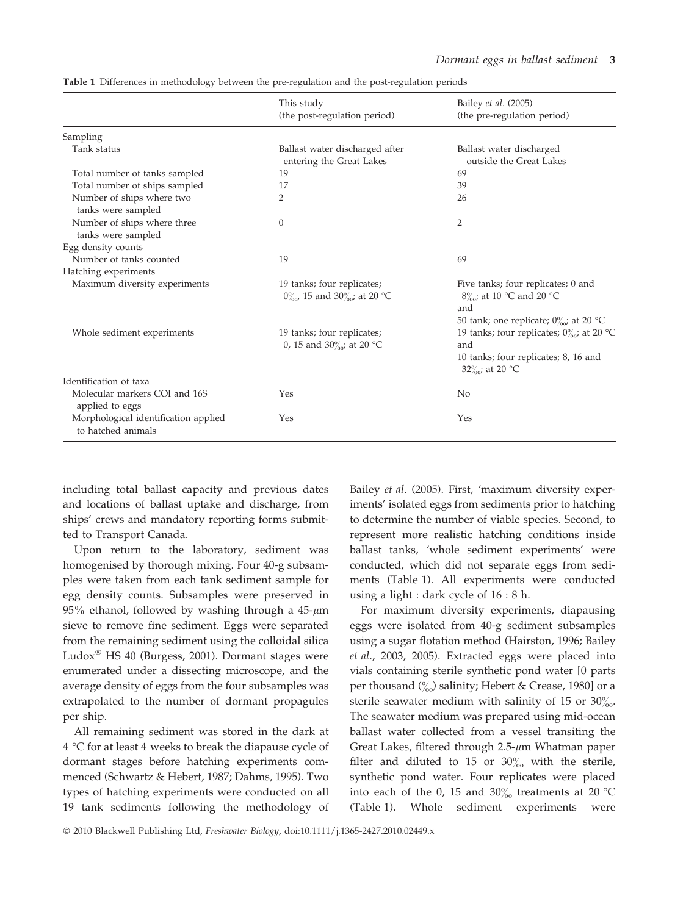|                                                            | This study<br>(the post-regulation period)                                                   | Bailey et al. (2005)<br>(the pre-regulation period)                                                                            |
|------------------------------------------------------------|----------------------------------------------------------------------------------------------|--------------------------------------------------------------------------------------------------------------------------------|
| Sampling                                                   |                                                                                              |                                                                                                                                |
| Tank status                                                | Ballast water discharged after<br>entering the Great Lakes                                   | Ballast water discharged<br>outside the Great Lakes                                                                            |
| Total number of tanks sampled                              | 19                                                                                           | 69                                                                                                                             |
| Total number of ships sampled                              | 17                                                                                           | 39                                                                                                                             |
| Number of ships where two<br>tanks were sampled            | $\overline{2}$                                                                               | 26                                                                                                                             |
| Number of ships where three<br>tanks were sampled          | $\theta$                                                                                     | 2                                                                                                                              |
| Egg density counts                                         |                                                                                              |                                                                                                                                |
| Number of tanks counted                                    | 19                                                                                           | 69                                                                                                                             |
| Hatching experiments                                       |                                                                                              |                                                                                                                                |
| Maximum diversity experiments                              | 19 tanks; four replicates;<br>$0^{\circ}_{\infty}$ , 15 and $30^{\circ}_{\infty}$ ; at 20 °C | Five tanks; four replicates; 0 and<br>$8\%$ <sub>o</sub> ; at 10 °C and 20 °C<br>and<br>50 tank; one replicate; $0\%$ at 20 °C |
| Whole sediment experiments                                 | 19 tanks; four replicates;<br>0, 15 and 30 $\frac{\%}{\%}$ at 20 °C                          | 19 tanks; four replicates; $0\%$ ; at 20 °C<br>and<br>10 tanks; four replicates; 8, 16 and<br>32 $\%$ ; at 20 °C               |
| Identification of taxa                                     |                                                                                              |                                                                                                                                |
| Molecular markers COI and 16S<br>applied to eggs           | Yes                                                                                          | N <sub>0</sub>                                                                                                                 |
| Morphological identification applied<br>to hatched animals | Yes                                                                                          | Yes                                                                                                                            |

Table 1 Differences in methodology between the pre-regulation and the post-regulation periods

including total ballast capacity and previous dates and locations of ballast uptake and discharge, from ships' crews and mandatory reporting forms submitted to Transport Canada.

Upon return to the laboratory, sediment was homogenised by thorough mixing. Four 40-g subsamples were taken from each tank sediment sample for egg density counts. Subsamples were preserved in 95% ethanol, followed by washing through a  $45-\mu m$ sieve to remove fine sediment. Eggs were separated from the remaining sediment using the colloidal silica Ludox $^{\circledR}$  HS 40 (Burgess, 2001). Dormant stages were enumerated under a dissecting microscope, and the average density of eggs from the four subsamples was extrapolated to the number of dormant propagules per ship.

All remaining sediment was stored in the dark at  $4 °C$  for at least 4 weeks to break the diapause cycle of dormant stages before hatching experiments commenced (Schwartz & Hebert, 1987; Dahms, 1995). Two types of hatching experiments were conducted on all 19 tank sediments following the methodology of Bailey et al. (2005). First, 'maximum diversity experiments' isolated eggs from sediments prior to hatching to determine the number of viable species. Second, to represent more realistic hatching conditions inside ballast tanks, 'whole sediment experiments' were conducted, which did not separate eggs from sediments (Table 1). All experiments were conducted using a light : dark cycle of 16 : 8 h.

For maximum diversity experiments, diapausing eggs were isolated from 40-g sediment subsamples using a sugar flotation method (Hairston, 1996; Bailey et al., 2003, 2005). Extracted eggs were placed into vials containing sterile synthetic pond water [0 parts per thousand  $\binom{0}{00}$  salinity; Hebert & Crease, 1980] or a sterile seawater medium with salinity of 15 or  $30\%$ . The seawater medium was prepared using mid-ocean ballast water collected from a vessel transiting the Great Lakes, filtered through  $2.5$ - $\mu$ m Whatman paper filter and diluted to 15 or  $30\%$  with the sterile, synthetic pond water. Four replicates were placed into each of the 0, 15 and  $30\%$  treatments at 20 °C (Table 1). Whole sediment experiments were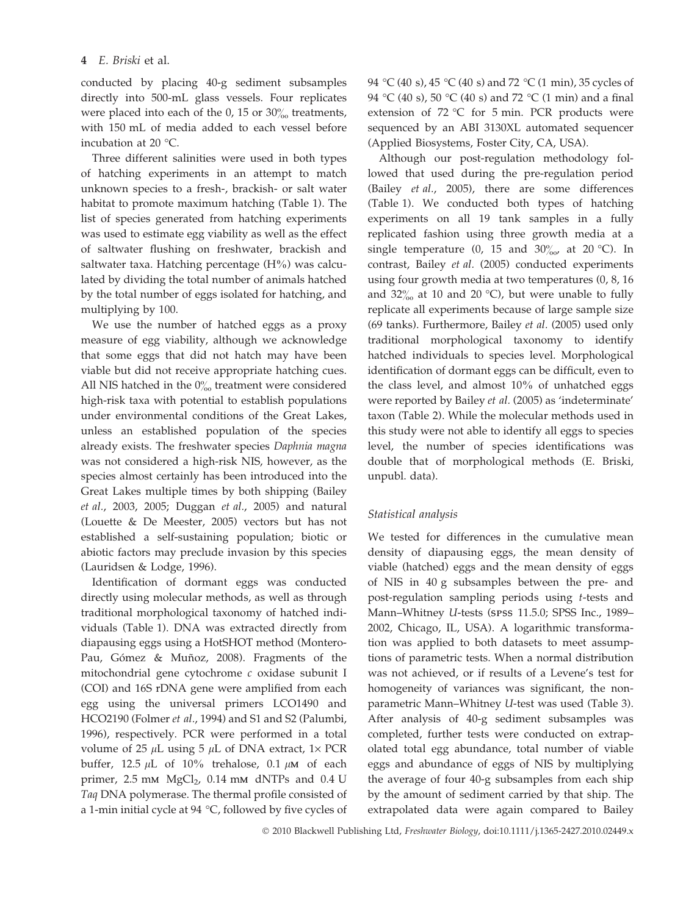conducted by placing 40-g sediment subsamples directly into 500-mL glass vessels. Four replicates were placed into each of the 0, 15 or  $30\%$  treatments, with 150 mL of media added to each vessel before incubation at 20 $\degree$ C.

Three different salinities were used in both types of hatching experiments in an attempt to match unknown species to a fresh-, brackish- or salt water habitat to promote maximum hatching (Table 1). The list of species generated from hatching experiments was used to estimate egg viability as well as the effect of saltwater flushing on freshwater, brackish and saltwater taxa. Hatching percentage  $(H%)$  was calculated by dividing the total number of animals hatched by the total number of eggs isolated for hatching, and multiplying by 100.

We use the number of hatched eggs as a proxy measure of egg viability, although we acknowledge that some eggs that did not hatch may have been viable but did not receive appropriate hatching cues. All NIS hatched in the  $0\%$  treatment were considered high-risk taxa with potential to establish populations under environmental conditions of the Great Lakes, unless an established population of the species already exists. The freshwater species Daphnia magna was not considered a high-risk NIS, however, as the species almost certainly has been introduced into the Great Lakes multiple times by both shipping (Bailey et al., 2003, 2005; Duggan et al., 2005) and natural (Louette & De Meester, 2005) vectors but has not established a self-sustaining population; biotic or abiotic factors may preclude invasion by this species (Lauridsen & Lodge, 1996).

Identification of dormant eggs was conducted directly using molecular methods, as well as through traditional morphological taxonomy of hatched individuals (Table 1). DNA was extracted directly from diapausing eggs using a HotSHOT method (Montero-Pau, Gómez & Muñoz, 2008). Fragments of the mitochondrial gene cytochrome c oxidase subunit I (COI) and 16S rDNA gene were amplified from each egg using the universal primers LCO1490 and HCO2190 (Folmer et al., 1994) and S1 and S2 (Palumbi, 1996), respectively. PCR were performed in a total volume of 25  $\mu$ L using 5  $\mu$ L of DNA extract, 1× PCR buffer, 12.5  $\mu$ L of 10% trehalose, 0.1  $\mu$ M of each primer,  $2.5$  mm  $MgCl<sub>2</sub>$ ,  $0.14$  mm dNTPs and  $0.4$  U Taq DNA polymerase. The thermal profile consisted of a 1-min initial cycle at 94  $\degree$ C, followed by five cycles of 94 °C (40 s), 45 °C (40 s) and 72 °C (1 min), 35 cycles of 94 °C (40 s), 50 °C (40 s) and 72 °C (1 min) and a final extension of  $72 °C$  for 5 min. PCR products were sequenced by an ABI 3130XL automated sequencer (Applied Biosystems, Foster City, CA, USA).

Although our post-regulation methodology followed that used during the pre-regulation period (Bailey et al., 2005), there are some differences (Table 1). We conducted both types of hatching experiments on all 19 tank samples in a fully replicated fashion using three growth media at a single temperature (0, 15 and  $30\%$  at 20 °C). In contrast, Bailey et al. (2005) conducted experiments using four growth media at two temperatures (0, 8, 16 and  $32\%$  at 10 and 20 °C), but were unable to fully replicate all experiments because of large sample size (69 tanks). Furthermore, Bailey et al. (2005) used only traditional morphological taxonomy to identify hatched individuals to species level. Morphological identification of dormant eggs can be difficult, even to the class level, and almost 10% of unhatched eggs were reported by Bailey et al. (2005) as 'indeterminate' taxon (Table 2). While the molecular methods used in this study were not able to identify all eggs to species level, the number of species identifications was double that of morphological methods (E. Briski, unpubl. data).

# Statistical analysis

We tested for differences in the cumulative mean density of diapausing eggs, the mean density of viable (hatched) eggs and the mean density of eggs of NIS in 40 g subsamples between the pre- and post-regulation sampling periods using t-tests and Mann–Whitney U-tests (SPSS 11.5.0; SPSS Inc., 1989– 2002, Chicago, IL, USA). A logarithmic transformation was applied to both datasets to meet assumptions of parametric tests. When a normal distribution was not achieved, or if results of a Levene's test for homogeneity of variances was significant, the nonparametric Mann–Whitney U-test was used (Table 3). After analysis of 40-g sediment subsamples was completed, further tests were conducted on extrapolated total egg abundance, total number of viable eggs and abundance of eggs of NIS by multiplying the average of four 40-g subsamples from each ship by the amount of sediment carried by that ship. The extrapolated data were again compared to Bailey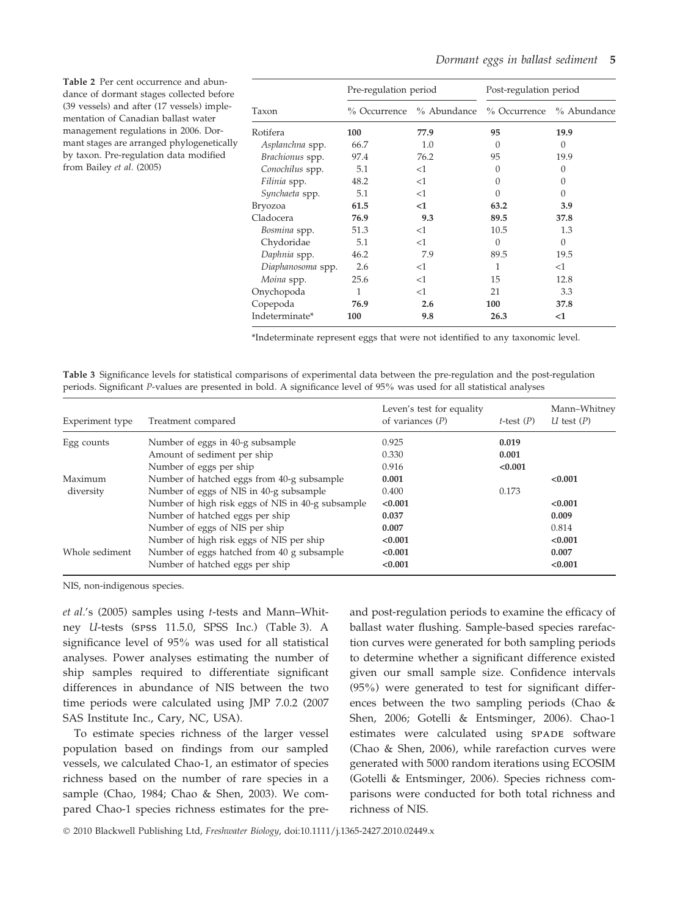| <b>Table 2</b> Per cent occurrence and abun-<br>dance of dormant stages collected before                                                                                                                                                      |                   | Pre-regulation period |             | Post-regulation period |             |
|-----------------------------------------------------------------------------------------------------------------------------------------------------------------------------------------------------------------------------------------------|-------------------|-----------------------|-------------|------------------------|-------------|
| (39 vessels) and after (17 vessels) imple-<br>mentation of Canadian ballast water<br>management regulations in 2006. Dor-<br>mant stages are arranged phylogenetically<br>by taxon. Pre-regulation data modified<br>from Bailey et al. (2005) | Taxon             | % Occurrence          | % Abundance | % Occurrence           | % Abundance |
|                                                                                                                                                                                                                                               | Rotifera          | 100                   | 77.9        | 95                     | 19.9        |
|                                                                                                                                                                                                                                               | Asplanchna spp.   | 66.7                  | 1.0         |                        | $\Omega$    |
|                                                                                                                                                                                                                                               | Brachionus spp.   | 97.4                  | 76.2        | 95                     | 19.9        |
|                                                                                                                                                                                                                                               | Conochilus spp.   | 5.1                   | <1          |                        | $\Omega$    |
|                                                                                                                                                                                                                                               | Filinia spp.      | 48.2                  | $<$ 1       |                        | $\Omega$    |
|                                                                                                                                                                                                                                               | Synchaeta spp.    | 5.1                   | <1          |                        | $\Omega$    |
|                                                                                                                                                                                                                                               | Bryozoa           | 61.5                  | $<$ 1       | 63.2                   | 3.9         |
|                                                                                                                                                                                                                                               | Cladocera         | 76.9                  | 9.3         | 89.5                   | 37.8        |
|                                                                                                                                                                                                                                               | Bosmina spp.      | 51.3                  | <1          | 10.5                   | 1.3         |
|                                                                                                                                                                                                                                               | Chydoridae        | 5.1                   | <1          | 0                      | $\theta$    |
|                                                                                                                                                                                                                                               | Daphnia spp.      | 46.2                  | 7.9         | 89.5                   | 19.5        |
|                                                                                                                                                                                                                                               | Diaphanosoma spp. | 2.6                   | <1          |                        | <1          |
|                                                                                                                                                                                                                                               | Moina spp.        | 25.6                  | $<$ 1       | 15                     | 12.8        |
|                                                                                                                                                                                                                                               | Onychopoda        |                       | $<$ 1       | 21                     | 3.3         |

\*Indeterminate represent eggs that were not identified to any taxonomic level.

Copepoda 76.9 2.6 100 37.8 Indeterminate\* 100 9.8 26.3 <1

Table 3 Significance levels for statistical comparisons of experimental data between the pre-regulation and the post-regulation periods. Significant P-values are presented in bold. A significance level of 95% was used for all statistical analyses

| Experiment type      | Treatment compared                                                                    | Leven's test for equality<br>of variances $(P)$ | t-test $(P)$     | Mann-Whitney<br>U test $(P)$ |
|----------------------|---------------------------------------------------------------------------------------|-------------------------------------------------|------------------|------------------------------|
| Egg counts           | Number of eggs in 40-g subsample                                                      | 0.925                                           | 0.019            |                              |
|                      | Amount of sediment per ship<br>Number of eggs per ship                                | 0.330<br>0.916                                  | 0.001<br>< 0.001 |                              |
| Maximum<br>diversity | Number of hatched eggs from 40-g subsample<br>Number of eggs of NIS in 40-g subsample | 0.001<br>0.400                                  | 0.173            | < 0.001                      |
|                      | Number of high risk eggs of NIS in 40-g subsample<br>Number of hatched eggs per ship  | < 0.001<br>0.037                                |                  | < 0.001<br>0.009             |
|                      | Number of eggs of NIS per ship<br>Number of high risk eggs of NIS per ship            | 0.007<br>< 0.001                                |                  | 0.814<br>< 0.001             |
| Whole sediment       | Number of eggs hatched from 40 g subsample<br>Number of hatched eggs per ship         | < 0.001<br>< 0.001                              |                  | 0.007<br>< 0.001             |

NIS, non-indigenous species.

et al.'s (2005) samples using t-tests and Mann–Whitney U-tests (SPSS 11.5.0, SPSS Inc.) (Table 3). A significance level of 95% was used for all statistical analyses. Power analyses estimating the number of ship samples required to differentiate significant differences in abundance of NIS between the two time periods were calculated using JMP 7.0.2 (2007 SAS Institute Inc., Cary, NC, USA).

To estimate species richness of the larger vessel population based on findings from our sampled vessels, we calculated Chao-1, an estimator of species richness based on the number of rare species in a sample (Chao, 1984; Chao & Shen, 2003). We compared Chao-1 species richness estimates for the preand post-regulation periods to examine the efficacy of ballast water flushing. Sample-based species rarefaction curves were generated for both sampling periods to determine whether a significant difference existed given our small sample size. Confidence intervals (95%) were generated to test for significant differences between the two sampling periods (Chao & Shen, 2006; Gotelli & Entsminger, 2006). Chao-1 estimates were calculated using SPADE software (Chao & Shen, 2006), while rarefaction curves were generated with 5000 random iterations using ECOSIM (Gotelli & Entsminger, 2006). Species richness comparisons were conducted for both total richness and richness of NIS.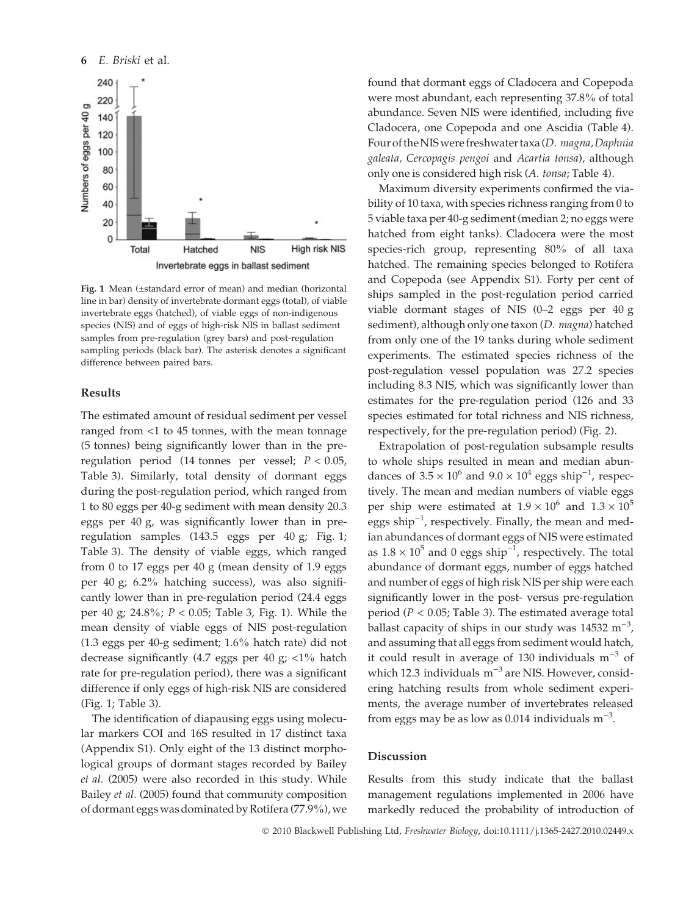

Fig. 1 Mean (±standard error of mean) and median (horizontal line in bar) density of invertebrate dormant eggs (total), of viable invertebrate eggs (hatched), of viable eggs of non-indigenous species (NIS) and of eggs of high-risk NIS in ballast sediment samples from pre-regulation (grey bars) and post-regulation sampling periods (black bar). The asterisk denotes a significant difference between paired bars.

#### Results

The estimated amount of residual sediment per vessel ranged from <1 to 45 tonnes, with the mean tonnage (5 tonnes) being significantly lower than in the preregulation period (14 tonnes per vessel;  $P < 0.05$ , Table 3). Similarly, total density of dormant eggs during the post-regulation period, which ranged from 1 to 80 eggs per 40-g sediment with mean density 20.3 eggs per 40 g, was significantly lower than in preregulation samples (143.5 eggs per 40 g; Fig. 1; Table 3). The density of viable eggs, which ranged from 0 to 17 eggs per 40 g (mean density of 1.9 eggs per 40 g; 6.2% hatching success), was also significantly lower than in pre-regulation period (24.4 eggs per 40 g; 24.8%; P < 0.05; Table 3, Fig. 1). While the mean density of viable eggs of NIS post-regulation (1.3 eggs per 40-g sediment; 1.6% hatch rate) did not decrease significantly (4.7 eggs per 40 g; <1% hatch rate for pre-regulation period), there was a significant difference if only eggs of high-risk NIS are considered (Fig. 1; Table 3).

The identification of diapausing eggs using molecular markers COI and 16S resulted in 17 distinct taxa (Appendix S1). Only eight of the 13 distinct morphological groups of dormant stages recorded by Bailey et al. (2005) were also recorded in this study. While Bailey et al. (2005) found that community composition of dormant eggs was dominated by Rotifera (77.9%), we found that dormant eggs of Cladocera and Copepoda were most abundant, each representing 37.8% of total abundance. Seven NIS were identified, including five Cladocera, one Copepoda and one Ascidia (Table 4). Four of the NIS were freshwater taxa (D. magna, Daphnia galeata, Cercopagis pengoi and Acartia tonsa), although only one is considered high risk (A. tonsa; Table 4).

Maximum diversity experiments confirmed the viability of 10 taxa, with species richness ranging from 0 to 5 viable taxa per 40-g sediment (median 2; no eggs were hatched from eight tanks). Cladocera were the most species-rich group, representing 80% of all taxa hatched. The remaining species belonged to Rotifera and Copepoda (see Appendix S1). Forty per cent of ships sampled in the post-regulation period carried viable dormant stages of NIS (0–2 eggs per 40 g sediment), although only one taxon (D. magna) hatched from only one of the 19 tanks during whole sediment experiments. The estimated species richness of the post-regulation vessel population was 27.2 species including 8.3 NIS, which was significantly lower than estimates for the pre-regulation period (126 and 33 species estimated for total richness and NIS richness, respectively, for the pre-regulation period) (Fig. 2).

Extrapolation of post-regulation subsample results to whole ships resulted in mean and median abundances of  $3.5 \times 10^6$  and  $9.0 \times 10^4$  eggs ship<sup>-1</sup>, respectively. The mean and median numbers of viable eggs per ship were estimated at  $1.9 \times 10^6$  and  $1.3 \times 10^5$ eggs ship<sup>-1</sup>, respectively. Finally, the mean and median abundances of dormant eggs of NIS were estimated as  $1.8 \times 10^5$  and 0 eggs ship<sup>-1</sup>, respectively. The total abundance of dormant eggs, number of eggs hatched and number of eggs of high risk NIS per ship were each significantly lower in the post- versus pre-regulation period ( $P < 0.05$ ; Table 3). The estimated average total ballast capacity of ships in our study was  $14532 \text{ m}^{-3}$ , and assuming that all eggs from sediment would hatch, it could result in average of 130 individuals  $m^{-3}$  of which 12.3 individuals  $m^{-3}$  are NIS. However, considering hatching results from whole sediment experiments, the average number of invertebrates released from eggs may be as low as 0.014 individuals  $m^{-3}$ .

### Discussion

Results from this study indicate that the ballast management regulations implemented in 2006 have markedly reduced the probability of introduction of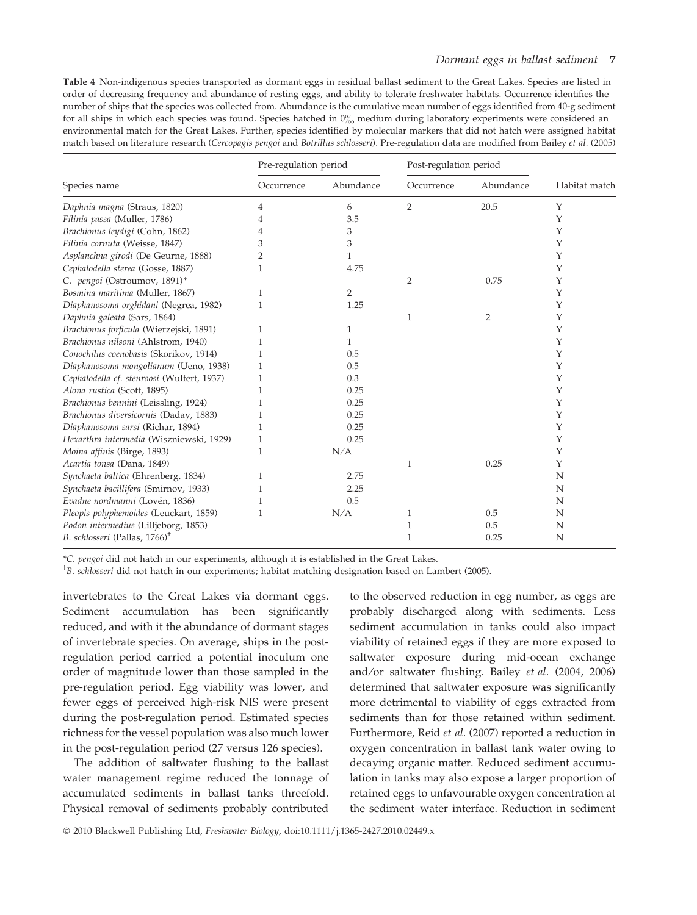Table 4 Non-indigenous species transported as dormant eggs in residual ballast sediment to the Great Lakes. Species are listed in order of decreasing frequency and abundance of resting eggs, and ability to tolerate freshwater habitats. Occurrence identifies the number of ships that the species was collected from. Abundance is the cumulative mean number of eggs identified from 40-g sediment for all ships in which each species was found. Species hatched in  $0\%$  medium during laboratory experiments were considered an environmental match for the Great Lakes. Further, species identified by molecular markers that did not hatch were assigned habitat match based on literature research (Cercopagis pengoi and Botrillus schlosseri). Pre-regulation data are modified from Bailey et al. (2005)

|                                            | Pre-regulation period |           | Post-regulation period |                |               |
|--------------------------------------------|-----------------------|-----------|------------------------|----------------|---------------|
| Species name                               | Occurrence            | Abundance | Occurrence             | Abundance      | Habitat match |
| Daphnia magna (Straus, 1820)               | 4                     | 6         | 2                      | 20.5           | Υ             |
| Filinia passa (Muller, 1786)               | 4                     | 3.5       |                        |                | Υ             |
| Brachionus leydigi (Cohn, 1862)            |                       | 3         |                        |                | Υ             |
| Filinia cornuta (Weisse, 1847)             | 3                     | 3         |                        |                | Υ             |
| Asplanchna girodi (De Geurne, 1888)        | 2                     | 1         |                        |                | Υ             |
| Cephalodella sterea (Gosse, 1887)          |                       | 4.75      |                        |                | Υ             |
| C. pengoi (Ostroumov, 1891)*               |                       |           | $\overline{2}$         | 0.75           | Υ             |
| Bosmina maritima (Muller, 1867)            | 1                     | 2         |                        |                | Υ             |
| Diaphanosoma orghidani (Negrea, 1982)      |                       | 1.25      |                        |                | Υ             |
| Daphnia galeata (Sars, 1864)               |                       |           | 1                      | $\overline{2}$ | Υ             |
| Brachionus forficula (Wierzejski, 1891)    |                       | 1         |                        |                | Υ             |
| Brachionus nilsoni (Ahlstrom, 1940)        |                       | 1         |                        |                | Υ             |
| Conochilus coenobasis (Skorikov, 1914)     |                       | 0.5       |                        |                | Υ             |
| Diaphanosoma mongolianum (Ueno, 1938)      |                       | 0.5       |                        |                | Υ             |
| Cephalodella cf. stenroosi (Wulfert, 1937) | 1                     | 0.3       |                        |                | Υ             |
| Alona rustica (Scott, 1895)                |                       | 0.25      |                        |                | Υ             |
| Brachionus bennini (Leissling, 1924)       |                       | 0.25      |                        |                | Υ             |
| Brachionus diversicornis (Daday, 1883)     |                       | 0.25      |                        |                | Υ             |
| Diaphanosoma sarsi (Richar, 1894)          |                       | 0.25      |                        |                | Υ             |
| Hexarthra intermedia (Wiszniewski, 1929)   | 1                     | 0.25      |                        |                | Υ             |
| Moina affinis (Birge, 1893)                | 1                     | N/A       |                        |                | Υ             |
| Acartia tonsa (Dana, 1849)                 |                       |           | 1                      | 0.25           | Υ             |
| Synchaeta baltica (Ehrenberg, 1834)        | 1                     | 2.75      |                        |                | N             |
| Synchaeta bacillifera (Smirnov, 1933)      |                       | 2.25      |                        |                | N             |
| Evadne nordmanni (Lovén, 1836)             |                       | 0.5       |                        |                | N             |
| Pleopis polyphemoides (Leuckart, 1859)     |                       | N/A       | 1                      | 0.5            | N             |
| Podon intermedius (Lilljeborg, 1853)       |                       |           | 1                      | 0.5            | N             |
| B. schlosseri (Pallas, 1766) <sup>†</sup>  |                       |           | 1                      | 0.25           | N             |

\*C. pengoi did not hatch in our experiments, although it is established in the Great Lakes.

† B. schlosseri did not hatch in our experiments; habitat matching designation based on Lambert (2005).

invertebrates to the Great Lakes via dormant eggs. Sediment accumulation has been significantly reduced, and with it the abundance of dormant stages of invertebrate species. On average, ships in the postregulation period carried a potential inoculum one order of magnitude lower than those sampled in the pre-regulation period. Egg viability was lower, and fewer eggs of perceived high-risk NIS were present during the post-regulation period. Estimated species richness for the vessel population was also much lower in the post-regulation period (27 versus 126 species).

The addition of saltwater flushing to the ballast water management regime reduced the tonnage of accumulated sediments in ballast tanks threefold. Physical removal of sediments probably contributed

to the observed reduction in egg number, as eggs are probably discharged along with sediments. Less sediment accumulation in tanks could also impact viability of retained eggs if they are more exposed to saltwater exposure during mid-ocean exchange and⁄or saltwater flushing. Bailey et al. (2004, 2006) determined that saltwater exposure was significantly more detrimental to viability of eggs extracted from sediments than for those retained within sediment. Furthermore, Reid et al. (2007) reported a reduction in oxygen concentration in ballast tank water owing to decaying organic matter. Reduced sediment accumulation in tanks may also expose a larger proportion of retained eggs to unfavourable oxygen concentration at the sediment–water interface. Reduction in sediment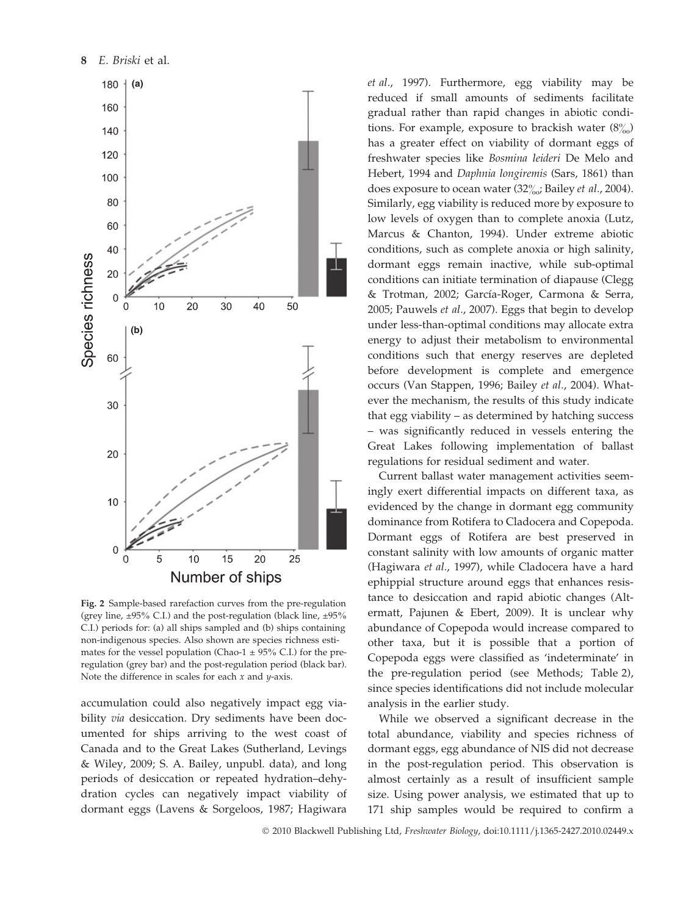

Fig. 2 Sample-based rarefaction curves from the pre-regulation (grey line,  $\pm 95\%$  C.I.) and the post-regulation (black line,  $\pm 95\%$ C.I.) periods for: (a) all ships sampled and (b) ships containing non-indigenous species. Also shown are species richness estimates for the vessel population (Chao-1  $\pm$  95% C.I.) for the preregulation (grey bar) and the post-regulation period (black bar). Note the difference in scales for each  $x$  and  $y$ -axis.

accumulation could also negatively impact egg viability *via* desiccation. Dry sediments have been documented for ships arriving to the west coast of Canada and to the Great Lakes (Sutherland, Levings & Wiley, 2009; S. A. Bailey, unpubl. data), and long periods of desiccation or repeated hydration–dehydration cycles can negatively impact viability of dormant eggs (Lavens & Sorgeloos, 1987; Hagiwara et al., 1997). Furthermore, egg viability may be reduced if small amounts of sediments facilitate gradual rather than rapid changes in abiotic conditions. For example, exposure to brackish water  $(8\%)$ has a greater effect on viability of dormant eggs of freshwater species like Bosmina leideri De Melo and Hebert, 1994 and Daphnia longiremis (Sars, 1861) than does exposure to ocean water (32 $\frac{9}{200}$ ; Bailey *et al.*, 2004). Similarly, egg viability is reduced more by exposure to low levels of oxygen than to complete anoxia (Lutz, Marcus & Chanton, 1994). Under extreme abiotic conditions, such as complete anoxia or high salinity, dormant eggs remain inactive, while sub-optimal conditions can initiate termination of diapause (Clegg & Trotman, 2002; García-Roger, Carmona & Serra, 2005; Pauwels et al., 2007). Eggs that begin to develop under less-than-optimal conditions may allocate extra energy to adjust their metabolism to environmental conditions such that energy reserves are depleted before development is complete and emergence occurs (Van Stappen, 1996; Bailey et al., 2004). Whatever the mechanism, the results of this study indicate that egg viability – as determined by hatching success – was significantly reduced in vessels entering the Great Lakes following implementation of ballast regulations for residual sediment and water.

Current ballast water management activities seemingly exert differential impacts on different taxa, as evidenced by the change in dormant egg community dominance from Rotifera to Cladocera and Copepoda. Dormant eggs of Rotifera are best preserved in constant salinity with low amounts of organic matter (Hagiwara et al., 1997), while Cladocera have a hard ephippial structure around eggs that enhances resistance to desiccation and rapid abiotic changes (Altermatt, Pajunen & Ebert, 2009). It is unclear why abundance of Copepoda would increase compared to other taxa, but it is possible that a portion of Copepoda eggs were classified as 'indeterminate' in the pre-regulation period (see Methods; Table 2), since species identifications did not include molecular analysis in the earlier study.

While we observed a significant decrease in the total abundance, viability and species richness of dormant eggs, egg abundance of NIS did not decrease in the post-regulation period. This observation is almost certainly as a result of insufficient sample size. Using power analysis, we estimated that up to 171 ship samples would be required to confirm a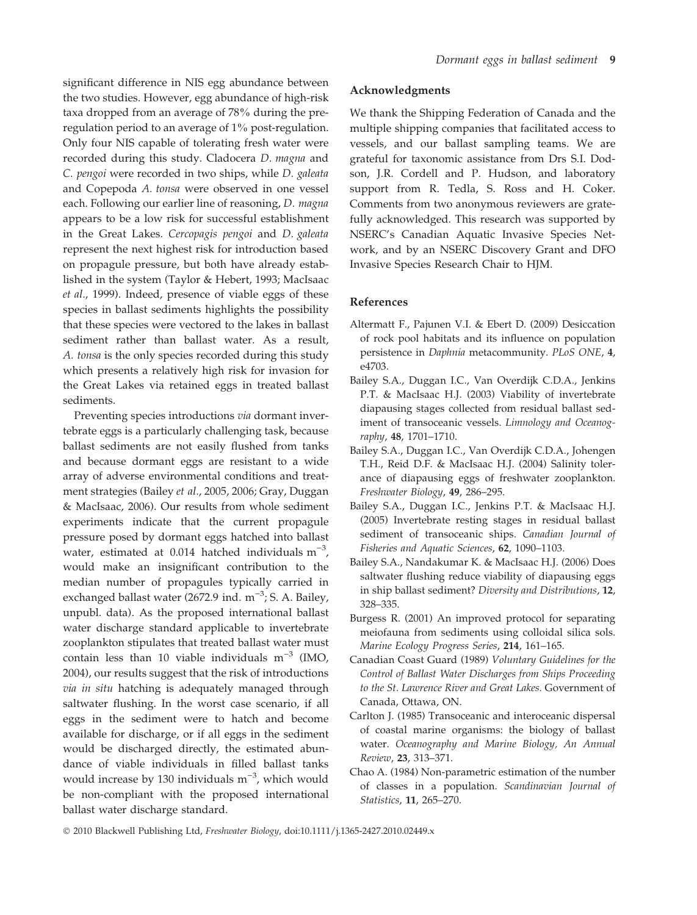significant difference in NIS egg abundance between the two studies. However, egg abundance of high-risk taxa dropped from an average of 78% during the preregulation period to an average of 1% post-regulation. Only four NIS capable of tolerating fresh water were recorded during this study. Cladocera D. magna and C. pengoi were recorded in two ships, while D. galeata and Copepoda A. tonsa were observed in one vessel each. Following our earlier line of reasoning, D. magna appears to be a low risk for successful establishment in the Great Lakes. Cercopagis pengoi and D. galeata represent the next highest risk for introduction based on propagule pressure, but both have already established in the system (Taylor & Hebert, 1993; MacIsaac et al., 1999). Indeed, presence of viable eggs of these species in ballast sediments highlights the possibility that these species were vectored to the lakes in ballast sediment rather than ballast water. As a result, A. tonsa is the only species recorded during this study which presents a relatively high risk for invasion for the Great Lakes via retained eggs in treated ballast sediments.

Preventing species introductions via dormant invertebrate eggs is a particularly challenging task, because ballast sediments are not easily flushed from tanks and because dormant eggs are resistant to a wide array of adverse environmental conditions and treatment strategies (Bailey et al., 2005, 2006; Gray, Duggan & MacIsaac, 2006). Our results from whole sediment experiments indicate that the current propagule pressure posed by dormant eggs hatched into ballast water, estimated at 0.014 hatched individuals  $m^{-3}$ , would make an insignificant contribution to the median number of propagules typically carried in exchanged ballast water (2672.9 ind.  $m^{-3}$ ; S. A. Bailey, unpubl. data). As the proposed international ballast water discharge standard applicable to invertebrate zooplankton stipulates that treated ballast water must contain less than 10 viable individuals  $m^{-3}$  (IMO, 2004), our results suggest that the risk of introductions via in situ hatching is adequately managed through saltwater flushing. In the worst case scenario, if all eggs in the sediment were to hatch and become available for discharge, or if all eggs in the sediment would be discharged directly, the estimated abundance of viable individuals in filled ballast tanks would increase by 130 individuals  $m^{-3}$ , which would be non-compliant with the proposed international ballast water discharge standard.

#### Acknowledgments

We thank the Shipping Federation of Canada and the multiple shipping companies that facilitated access to vessels, and our ballast sampling teams. We are grateful for taxonomic assistance from Drs S.I. Dodson, J.R. Cordell and P. Hudson, and laboratory support from R. Tedla, S. Ross and H. Coker. Comments from two anonymous reviewers are gratefully acknowledged. This research was supported by NSERC's Canadian Aquatic Invasive Species Network, and by an NSERC Discovery Grant and DFO Invasive Species Research Chair to HJM.

## References

- Altermatt F., Pajunen V.I. & Ebert D. (2009) Desiccation of rock pool habitats and its influence on population persistence in Daphnia metacommunity. PLoS ONE, 4, e4703.
- Bailey S.A., Duggan I.C., Van Overdijk C.D.A., Jenkins P.T. & MacIsaac H.J. (2003) Viability of invertebrate diapausing stages collected from residual ballast sediment of transoceanic vessels. Limnology and Oceanography, 48, 1701–1710.
- Bailey S.A., Duggan I.C., Van Overdijk C.D.A., Johengen T.H., Reid D.F. & MacIsaac H.J. (2004) Salinity tolerance of diapausing eggs of freshwater zooplankton. Freshwater Biology, 49, 286–295.
- Bailey S.A., Duggan I.C., Jenkins P.T. & MacIsaac H.J. (2005) Invertebrate resting stages in residual ballast sediment of transoceanic ships. Canadian Journal of Fisheries and Aquatic Sciences, 62, 1090–1103.
- Bailey S.A., Nandakumar K. & MacIsaac H.J. (2006) Does saltwater flushing reduce viability of diapausing eggs in ship ballast sediment? Diversity and Distributions, 12, 328–335.
- Burgess R. (2001) An improved protocol for separating meiofauna from sediments using colloidal silica sols. Marine Ecology Progress Series, 214, 161–165.
- Canadian Coast Guard (1989) Voluntary Guidelines for the Control of Ballast Water Discharges from Ships Proceeding to the St. Lawrence River and Great Lakes. Government of Canada, Ottawa, ON.
- Carlton J. (1985) Transoceanic and interoceanic dispersal of coastal marine organisms: the biology of ballast water. Oceanography and Marine Biology, An Annual Review, 23, 313–371.
- Chao A. (1984) Non-parametric estimation of the number of classes in a population. Scandinavian Journal of Statistics, 11, 265–270.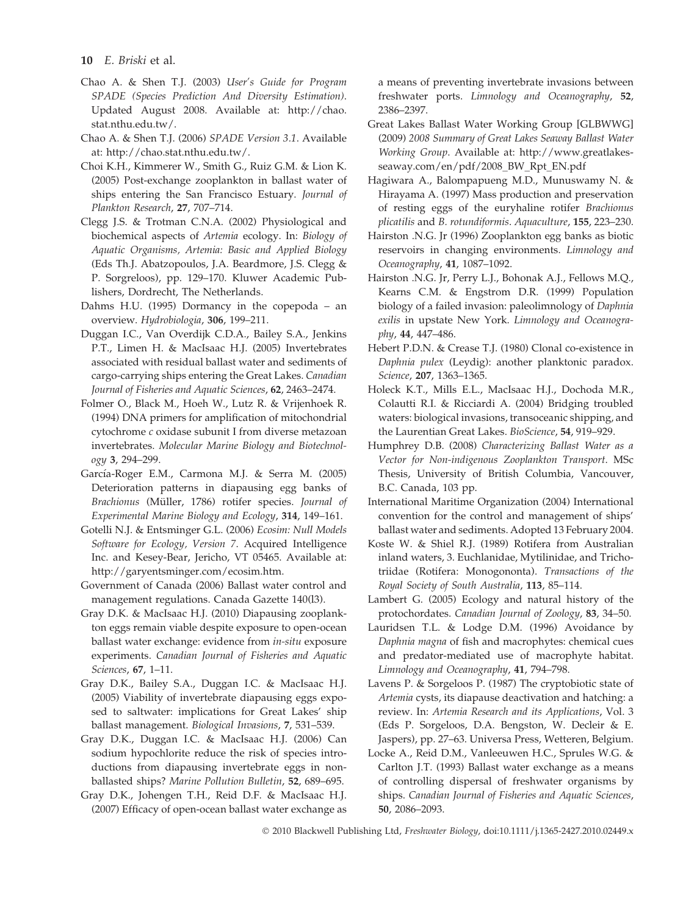- Chao A. & Shen T.J. (2003) User's Guide for Program SPADE (Species Prediction And Diversity Estimation). Updated August 2008. Available at: http://chao. stat.nthu.edu.tw/.
- Chao A. & Shen T.J. (2006) SPADE Version 3.1. Available at: http://chao.stat.nthu.edu.tw/.
- Choi K.H., Kimmerer W., Smith G., Ruiz G.M. & Lion K. (2005) Post-exchange zooplankton in ballast water of ships entering the San Francisco Estuary. Journal of Plankton Research, 27, 707–714.
- Clegg J.S. & Trotman C.N.A. (2002) Physiological and biochemical aspects of Artemia ecology. In: Biology of Aquatic Organisms, Artemia: Basic and Applied Biology (Eds Th.J. Abatzopoulos, J.A. Beardmore, J.S. Clegg & P. Sorgreloos), pp. 129–170. Kluwer Academic Publishers, Dordrecht, The Netherlands.
- Dahms H.U. (1995) Dormancy in the copepoda an overview. Hydrobiologia, 306, 199–211.
- Duggan I.C., Van Overdijk C.D.A., Bailey S.A., Jenkins P.T., Limen H. & MacIsaac H.J. (2005) Invertebrates associated with residual ballast water and sediments of cargo-carrying ships entering the Great Lakes. Canadian Journal of Fisheries and Aquatic Sciences, 62, 2463–2474.
- Folmer O., Black M., Hoeh W., Lutz R. & Vrijenhoek R. (1994) DNA primers for amplification of mitochondrial cytochrome c oxidase subunit I from diverse metazoan invertebrates. Molecular Marine Biology and Biotechnology 3, 294–299.
- García-Roger E.M., Carmona M.J. & Serra M. (2005) Deterioration patterns in diapausing egg banks of Brachionus (Müller, 1786) rotifer species. Journal of Experimental Marine Biology and Ecology, 314, 149–161.
- Gotelli N.J. & Entsminger G.L. (2006) Ecosim: Null Models Software for Ecology, Version 7. Acquired Intelligence Inc. and Kesey-Bear, Jericho, VT 05465. Available at: http://garyentsminger.com/ecosim.htm.
- Government of Canada (2006) Ballast water control and management regulations. Canada Gazette 140(l3).
- Gray D.K. & MacIsaac H.J. (2010) Diapausing zooplankton eggs remain viable despite exposure to open-ocean ballast water exchange: evidence from in-situ exposure experiments. Canadian Journal of Fisheries and Aquatic Sciences, 67, 1–11.
- Gray D.K., Bailey S.A., Duggan I.C. & MacIsaac H.J. (2005) Viability of invertebrate diapausing eggs exposed to saltwater: implications for Great Lakes' ship ballast management. Biological Invasions, 7, 531–539.
- Gray D.K., Duggan I.C. & MacIsaac H.J. (2006) Can sodium hypochlorite reduce the risk of species introductions from diapausing invertebrate eggs in nonballasted ships? Marine Pollution Bulletin, 52, 689–695.
- Gray D.K., Johengen T.H., Reid D.F. & MacIsaac H.J. (2007) Efficacy of open-ocean ballast water exchange as

a means of preventing invertebrate invasions between freshwater ports. Limnology and Oceanography, 52, 2386–2397.

- Great Lakes Ballast Water Working Group [GLBWWG] (2009) 2008 Summary of Great Lakes Seaway Ballast Water Working Group. Available at: http://www.greatlakesseaway.com/en/pdf/2008\_BW\_Rpt\_EN.pdf
- Hagiwara A., Balompapueng M.D., Munuswamy N. & Hirayama A. (1997) Mass production and preservation of resting eggs of the euryhaline rotifer Brachionus plicatilis and B. rotundiformis. Aquaculture, 155, 223–230.
- Hairston .N.G. Jr (1996) Zooplankton egg banks as biotic reservoirs in changing environments. Limnology and Oceanography, 41, 1087–1092.
- Hairston .N.G. Jr, Perry L.J., Bohonak A.J., Fellows M.Q., Kearns C.M. & Engstrom D.R. (1999) Population biology of a failed invasion: paleolimnology of Daphnia exilis in upstate New York. Limnology and Oceanography, 44, 447–486.
- Hebert P.D.N. & Crease T.J. (1980) Clonal co-existence in Daphnia pulex (Leydig): another planktonic paradox. Science, 207, 1363–1365.
- Holeck K.T., Mills E.L., MacIsaac H.J., Dochoda M.R., Colautti R.I. & Ricciardi A. (2004) Bridging troubled waters: biological invasions, transoceanic shipping, and the Laurentian Great Lakes. BioScience, 54, 919–929.
- Humphrey D.B. (2008) Characterizing Ballast Water as a Vector for Non-indigenous Zooplankton Transport. MSc Thesis, University of British Columbia, Vancouver, B.C. Canada, 103 pp.
- International Maritime Organization (2004) International convention for the control and management of ships' ballast water and sediments. Adopted 13 February 2004.
- Koste W. & Shiel R.J. (1989) Rotifera from Australian inland waters, 3. Euchlanidae, Mytilinidae, and Trichotriidae (Rotifera: Monogononta). Transactions of the Royal Society of South Australia, 113, 85–114.
- Lambert G. (2005) Ecology and natural history of the protochordates. Canadian Journal of Zoology, 83, 34–50.
- Lauridsen T.L. & Lodge D.M. (1996) Avoidance by Daphnia magna of fish and macrophytes: chemical cues and predator-mediated use of macrophyte habitat. Limnology and Oceanography, 41, 794–798.
- Lavens P. & Sorgeloos P. (1987) The cryptobiotic state of Artemia cysts, its diapause deactivation and hatching: a review. In: Artemia Research and its Applications, Vol. 3 (Eds P. Sorgeloos, D.A. Bengston, W. Decleir & E. Jaspers), pp. 27–63. Universa Press, Wetteren, Belgium.
- Locke A., Reid D.M., Vanleeuwen H.C., Sprules W.G. & Carlton J.T. (1993) Ballast water exchange as a means of controlling dispersal of freshwater organisms by ships. Canadian Journal of Fisheries and Aquatic Sciences, 50, 2086–2093.